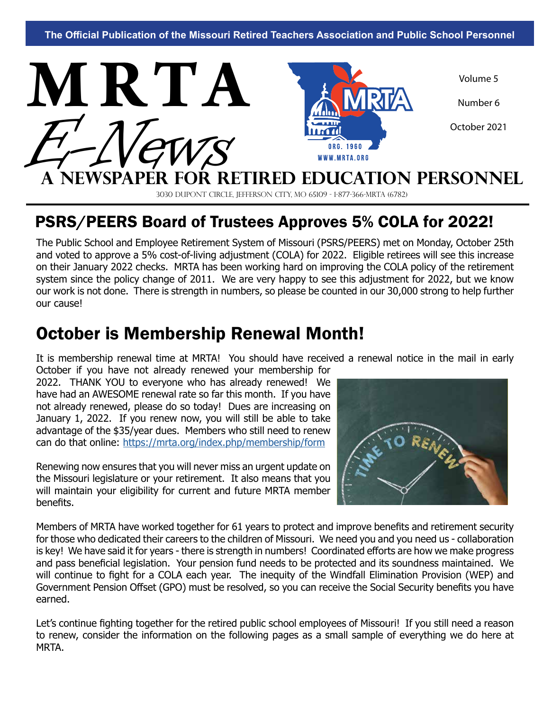

3030 DuPont Circle, Jefferson City, MO 65109 - 1-877-366-mrta (6782)

# PSRS/PEERS Board of Trustees Approves 5% COLA for 2022!

The Public School and Employee Retirement System of Missouri (PSRS/PEERS) met on Monday, October 25th and voted to approve a 5% cost-of-living adjustment (COLA) for 2022. Eligible retirees will see this increase on their January 2022 checks. MRTA has been working hard on improving the COLA policy of the retirement system since the policy change of 2011. We are very happy to see this adjustment for 2022, but we know our work is not done. There is strength in numbers, so please be counted in our 30,000 strong to help further our cause!

## October is Membership Renewal Month!

It is membership renewal time at MRTA! You should have received a renewal notice in the mail in early

October if you have not already renewed your membership for 2022. THANK YOU to everyone who has already renewed! We have had an AWESOME renewal rate so far this month. If you have not already renewed, please do so today! Dues are increasing on January 1, 2022. If you renew now, you will still be able to take advantage of the \$35/year dues. Members who still need to renew can do that online:<https://mrta.org/index.php/membership/form>

Renewing now ensures that you will never miss an urgent update on the Missouri legislature or your retirement. It also means that you will maintain your eligibility for current and future MRTA member benefits.



Members of MRTA have worked together for 61 years to protect and improve benefits and retirement security for those who dedicated their careers to the children of Missouri. We need you and you need us - collaboration is key! We have said it for years - there is strength in numbers! Coordinated efforts are how we make progress and pass beneficial legislation. Your pension fund needs to be protected and its soundness maintained. We will continue to fight for a COLA each year. The inequity of the Windfall Elimination Provision (WEP) and Government Pension Offset (GPO) must be resolved, so you can receive the Social Security benefits you have earned.

Let's continue fighting together for the retired public school employees of Missouri! If you still need a reason to renew, consider the information on the following pages as a small sample of everything we do here at MRTA.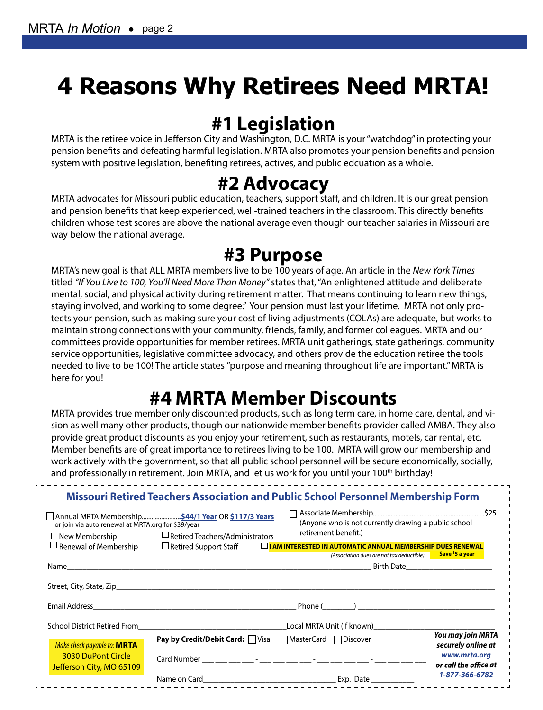# **4 Reasons Why Retirees Need MRTA!**

# **#1 Legislation**

MRTA is the retiree voice in Jefferson City and Washington, D.C. MRTA is your "watchdog" in protecting your pension benefits and defeating harmful legislation. MRTA also promotes your pension benefits and pension system with positive legislation, benefiting retirees, actives, and public edcuation as a whole.

## **#2 Advocacy**

MRTA advocates for Missouri public education, teachers, support staff, and children. It is our great pension and pension benefits that keep experienced, well-trained teachers in the classroom. This directly benefits children whose test scores are above the national average even though our teacher salaries in Missouri are way below the national average.

# **#3 Purpose**

MRTA's new goal is that ALL MRTA members live to be 100 years of age. An article in the *New York Times*  titled *"If You Live to 100, You'll Need More Than Money"* states that, "An enlightened attitude and deliberate mental, social, and physical activity during retirement matter. That means continuing to learn new things, staying involved, and working to some degree." Your pension must last your lifetime. MRTA not only protects your pension, such as making sure your cost of living adjustments (COLAs) are adequate, but works to maintain strong connections with your community, friends, family, and former colleagues. MRTA and our committees provide opportunities for member retirees. MRTA unit gatherings, state gatherings, community service opportunities, legislative committee advocacy, and others provide the education retiree the tools needed to live to be 100! The article states "purpose and meaning throughout life are important." MRTA is here for you!

# **#4 MRTA Member Discounts**

MRTA provides true member only discounted products, such as long term care, in home care, dental, and vision as well many other products, though our nationwide member benefits provider called AMBA. They also provide great product discounts as you enjoy your retirement, such as restaurants, motels, car rental, etc. Member benefits are of great importance to retirees living to be 100. MRTA will grow our membership and work actively with the government, so that all public school personnel will be secure economically, socially, and professionally in retirement. Join MRTA, and let us work for you until your 100<sup>th</sup> birthday!

| <b>Missouri Retired Teachers Association and Public School Personnel Membership Form</b> |                                                                                                 |                                                                              |                                         |
|------------------------------------------------------------------------------------------|-------------------------------------------------------------------------------------------------|------------------------------------------------------------------------------|-----------------------------------------|
| or join via auto renewal at MRTA.org for \$39/year<br>$\square$ New Membership           | Annual MRTA Membership 544/1 Year OR \$117/3 Years<br>$\square$ Retired Teachers/Administrators | (Anyone who is not currently drawing a public school<br>retirement benefit.) |                                         |
| $\square$ Renewal of Membership                                                          | $\Box$ Retired Support Staff                                                                    | $\Box$ I AM INTERESTED IN AUTOMATIC ANNUAL MEMBERSHIP DUES RENEWAL           | Save \$5 a year                         |
|                                                                                          |                                                                                                 | (Association dues are not tax deductible)                                    | Birth Date                              |
|                                                                                          |                                                                                                 |                                                                              |                                         |
|                                                                                          |                                                                                                 | $Phone(\_)$                                                                  |                                         |
| <b>School District Retired From</b>                                                      | <u> 1990 - Johann Barbara, martin d</u>                                                         | Local MRTA Unit (if known) [1994]                                            |                                         |
| Make check payable to: MRTA                                                              | <b>Pay by Credit/Debit Card:</b> <i>Q</i> Visa <i>Q</i> MasterCard <i>Q</i> Discover            |                                                                              | You may join MRTA<br>securely online at |
| <b>3030 DuPont Circle</b><br>Jefferson City, MO 65109                                    | Card Number ___ ___ ___ __ - ___ -__ ___ - ___ -__ -__ -__ -__ - ___ -__ -__ -__                |                                                                              | www.mrta.org<br>or call the office at   |
|                                                                                          |                                                                                                 |                                                                              | 1-877-366-6782                          |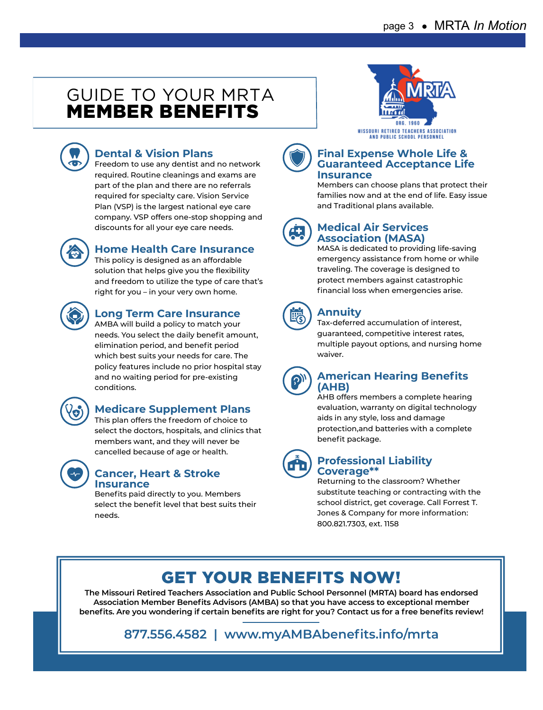### GUIDE TO YOUR MRTA MEMBER BENEFITS



### **Dental & Vision Plans**

Freedom to use any dentist and no network required. Routine cleanings and exams are part of the plan and there are no referrals required for specialty care. Vision Service Plan (VSP) is the largest national eye care company. VSP offers one-stop shopping and discounts for all your eye care needs.



### **Home Health Care Insurance**

This policy is designed as an affordable solution that helps give you the flexibility and freedom to utilize the type of care that's right for you – in your very own home.



### **Long Term Care Insurance**

AMBA will build a policy to match your needs. You select the daily benefit amount, elimination period, and benefit period which best suits your needs for care. The policy features include no prior hospital stay and no waiting period for pre-existing conditions.



### **Medicare Supplement Plans**

This plan offers the freedom of choice to select the doctors, hospitals, and clinics that members want, and they will never be cancelled because of age or health.



#### **Cancer, Heart & Stroke Insurance**

Benefits paid directly to you. Members select the benefit level that best suits their needs.





#### **Final Expense Whole Life & Guaranteed Acceptance Life Insurance**

Members can choose plans that protect their families now and at the end of life. Easy issue and Traditional plans available.



#### **Medical Air Services Association (MASA)**

MASA is dedicated to providing life-saving emergency assistance from home or while traveling. The coverage is designed to protect members against catastrophic financial loss when emergencies arise.



### **Annuity**

Tax-deferred accumulation of interest, guaranteed, competitive interest rates, multiple payout options, and nursing home waiver.



#### **American Hearing Benefits (AHB)**

AHB offers members a complete hearing evaluation, warranty on digital technology aids in any style, loss and damage protection,and batteries with a complete benefit package.



#### **Professional Liability Coverage\*\***

Returning to the classroom? Whether substitute teaching or contracting with the school district, get coverage. Call Forrest T. Jones & Company for more information: 800.821.7303, ext. 1158

# GET YOUR BENEFITS NOW!

**The Missouri Retired Teachers Association and Public School Personnel (MRTA) board has endorsed Association Member Benefits Advisors (AMBA) so that you have access to exceptional member benefits. Are you wondering if certain benefits are right for you? Contact us for a free benefits review!**

**877.556.4582 | www.myAMBAbenefits.info/mrta**